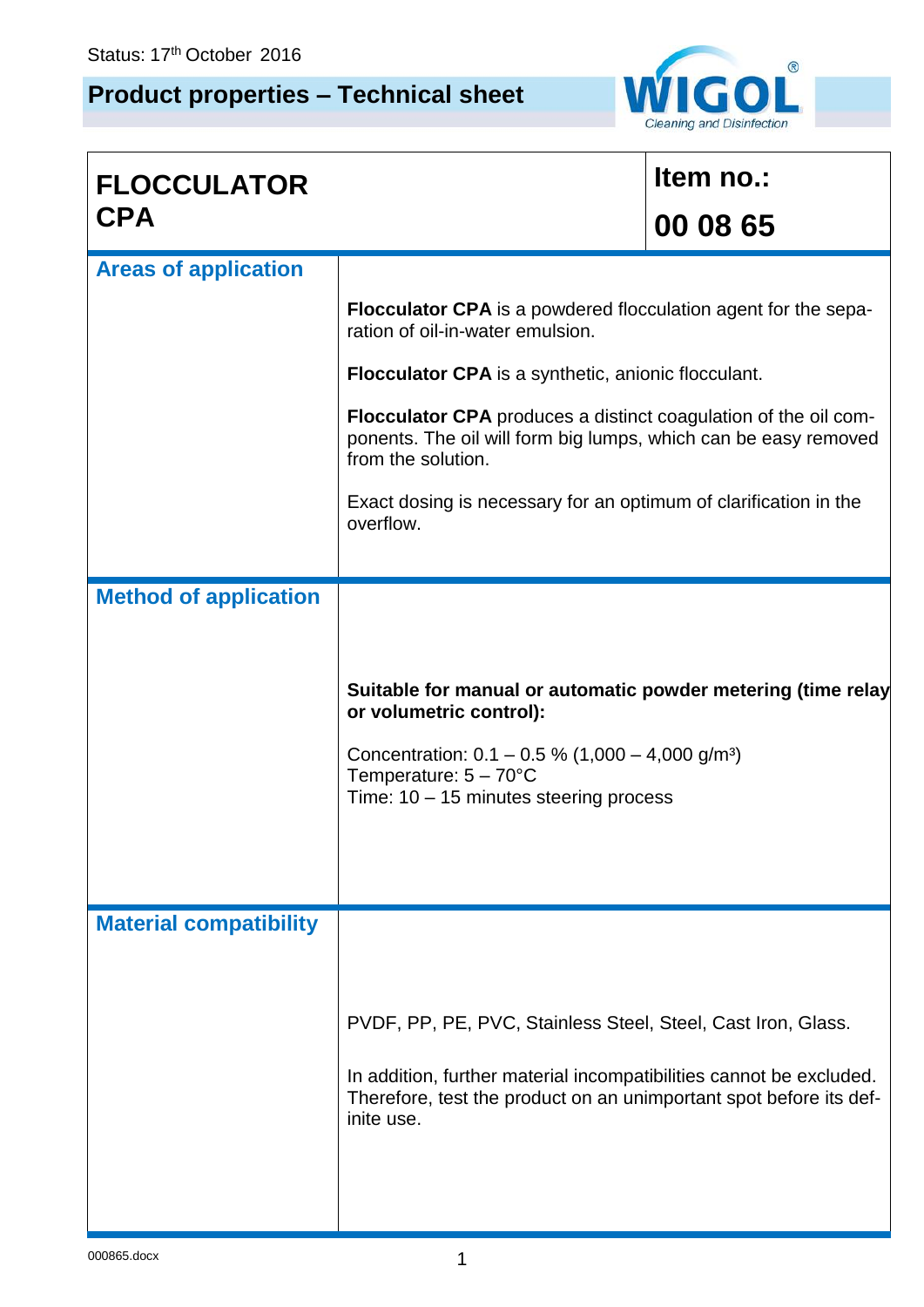## **Product properties – Technical sheet**



| <b>FLOCCULATOR</b>            |                                                                                                                                                                                                                                          | Item no.: |  |  |
|-------------------------------|------------------------------------------------------------------------------------------------------------------------------------------------------------------------------------------------------------------------------------------|-----------|--|--|
| <b>CPA</b>                    |                                                                                                                                                                                                                                          | 00 08 65  |  |  |
| <b>Areas of application</b>   |                                                                                                                                                                                                                                          |           |  |  |
|                               | <b>Flocculator CPA</b> is a powdered flocculation agent for the sepa-<br>ration of oil-in-water emulsion.                                                                                                                                |           |  |  |
|                               | <b>Flocculator CPA</b> is a synthetic, anionic flocculant.                                                                                                                                                                               |           |  |  |
|                               | <b>Flocculator CPA</b> produces a distinct coagulation of the oil com-<br>ponents. The oil will form big lumps, which can be easy removed<br>from the solution.                                                                          |           |  |  |
|                               | Exact dosing is necessary for an optimum of clarification in the<br>overflow.                                                                                                                                                            |           |  |  |
| <b>Method of application</b>  |                                                                                                                                                                                                                                          |           |  |  |
|                               | Suitable for manual or automatic powder metering (time relay<br>or volumetric control):<br>Concentration: $0.1 - 0.5$ % (1,000 - 4,000 g/m <sup>3</sup> )<br>Temperature: $5 - 70^{\circ}$ C<br>Time: $10 - 15$ minutes steering process |           |  |  |
| <b>Material compatibility</b> | PVDF, PP, PE, PVC, Stainless Steel, Steel, Cast Iron, Glass.<br>In addition, further material incompatibilities cannot be excluded.<br>Therefore, test the product on an unimportant spot before its def-<br>inite use.                  |           |  |  |